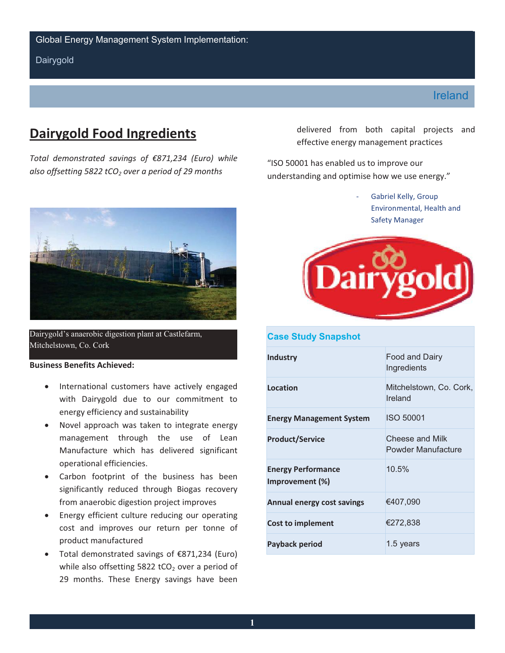**Dairygold** 

# **Dairygold Food Ingredients**

*Total demonstrated savings of €871,234 (Euro) while*  also offsetting 5822 tCO<sub>2</sub> over a period of 29 months



Dairygold's anaerobic digestion plant at Castlefarm, Mitchelstown, Co. Cork

# **Business Benefits Achieved:**

- •International customers have actively engaged with Dairygold due to our commitment to energy efficiency and sustainability
- •Novel approach was taken to integrate energy management through the use of Lean Manufacture which has delivered significant operational efficiencies.
- from anaerobic digestion project improves Carbon footprint of the business has been significantly reduced through Biogas recovery
- Energy efficient culture reducing our operating cost and improves our return per tonne of product manufactured
- while also offsetting 5822 tCO<sub>2</sub> over a period of Total demonstrated savings of  $\epsilon$ 871,234 (Euro) 29 months. These Energy savings have been

delivered from both capital projects and effective energy management practices

"ISO 50001 has enabled us to improve our understanding and optimise how we use energy."

> Gabriel Kelly, Group Environmental, Health and Safety Manager



# **Case Study Snapshot**

| Industry                                     | Food and Dairy<br>Ingredients         |
|----------------------------------------------|---------------------------------------|
| Location                                     | Mitchelstown, Co. Cork,<br>Ireland    |
| <b>Energy Management System</b>              | <b>ISO 50001</b>                      |
| <b>Product/Service</b>                       | Cheese and Milk<br>Powder Manufacture |
| <b>Energy Performance</b><br>Improvement (%) | 10.5%                                 |
| Annual energy cost savings                   | €407,090                              |
| <b>Cost to implement</b>                     | €272,838                              |
| Payback period                               | 1.5 years                             |

# Ireland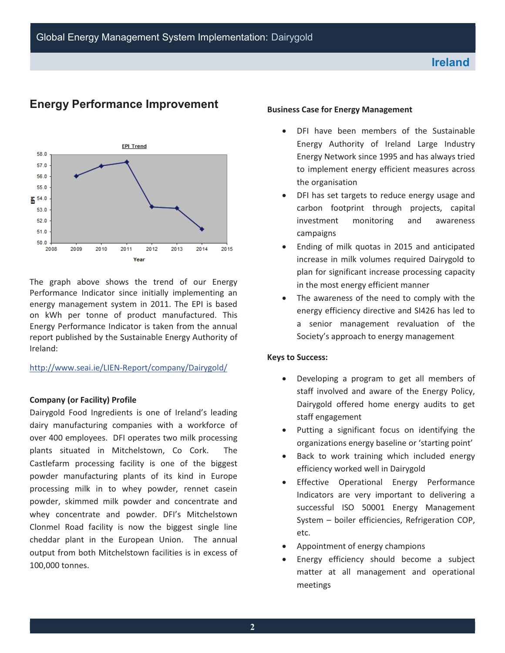

# **Energy Performance Improvement**

 report published by the Sustainable Energy Authority of The graph above shows the trend of our Energy Performance Indicator since initially implementing an energy management system in 2011. The EPI is based on kWh per tonne of product manufactured. This Energy Performance Indicator is taken from the annual Ireland:

## http://www.seai.ie/LIEN-Report/company/Dairygold/

## **Company (or Facility) Profile**

 plants situated in Mitchelstown, Co Cork. The Castlefarm processing facility is one of the biggest Dairygold Food Ingredients is one of Ireland's leading dairy manufacturing companies with a workforce of over 400 employees. DFI operates two milk processing powder manufacturing plants of its kind in Europe processing milk in to whey powder, rennet casein powder, skimmed milk powder and concentrate and whey concentrate and powder. DFI's Mitchelstown Clonmel Road facility is now the biggest single line cheddar plant in the European Union. The annual output from both Mitchelstown facilities is in excess of 100,000 tonnes.

## **Business Case for Energy Management**

- •DFI have been members of the Sustainable Energy Authority of Ireland Large Industry Energy Network since 1995 and has always tried to implement energy efficient measures across the organisation
- •DFI has set targets to reduce energy usage and carbon footprint through projects, capital investment monitoring and awareness campaigns
- •Ending of milk quotas in 2015 and anticipated increase in milk volumes required Dairygold to plan for significant increase processing capacity in the most energy efficient manner
- The awareness of the need to comply with the energy efficiency directive and SI426 has led to a senior management revaluation of the Society's approach to energy management

## **Keys to Success:**

- $\bullet$ •Developing a program to get all members of staff involved and aware of the Energy Policy, Dairygold offered home energy audits to get staff engagement
- Putting a significant focus on identifying the organizations energy baseline or 'starting point'
- Back to work training which included energy efficiency worked well in Dairygold
- •Effective Operational Energy Performance Indicators are very important to delivering a successful ISO 50001 Energy Management System – boiler efficiencies, Refrigeration COP, etc.
- •Appointment of energy champions
- •Energy efficiency should become a subject matter at all management and operational meetings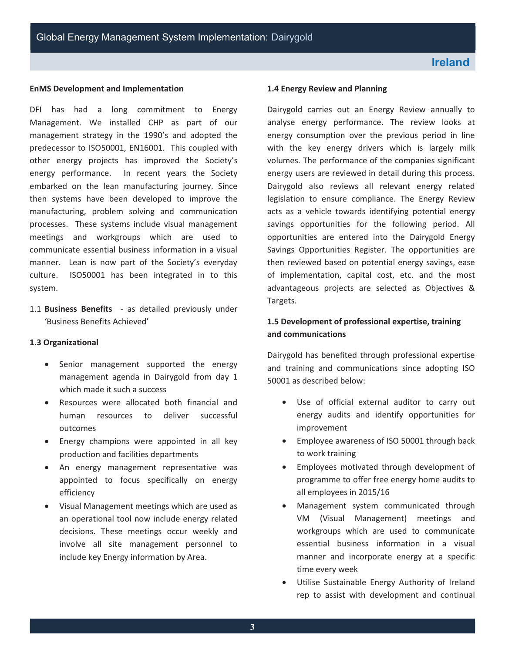# **EnMS Development and Implementation**

 DFI has had a long commitment to Energy Management. We installed CHP as part of our management strategy in the 1990's and adopted the predecessor to ISO50001, EN16001. This coupled with other energy projects has improved the Society's energy performance. In recent years the Society embarked on the lean manufacturing journey. Since then systems have been developed to improve the manufacturing, problem solving and communication processes. These systems include visual management meetings and workgroups which are used to communicate essential business information in a visual manner. Lean is now part of the Society's everyday culture. ISO50001 has been integrated in to this system.

1.1 **Business Benefits** - as detailed previously under 'Business Benefits Achieved'

# **1.3 Organizational**

- Senior management supported the energy management agenda in Dairygold from day 1 which made it such a success
- •Resources were allocated both financial and human resources to deliver successful outcomes
- •Energy champions were appointed in all key production and facilities departments
- •An energy management representative was appointed to focus specifically on energy efficiency
- •Visual Management meetings which are used as an operational tool now include energy related decisions. These meetings occur weekly and involve all site management personnel to include key Energy information by Area.

# **1.4 Energy Review and Planning**

 savings opportunities for the following period. All Dairygold carries out an Energy Review annually to analyse energy performance. The review looks at energy consumption over the previous period in line with the key energy drivers which is largely milk volumes. The performance of the companies significant energy users are reviewed in detail during this process. Dairygold also reviews all relevant energy related legislation to ensure compliance. The Energy Review acts as a vehicle towards identifying potential energy opportunities are entered into the Dairygold Energy Savings Opportunities Register. The opportunities are then reviewed based on potential energy savings, ease of implementation, capital cost, etc. and the most advantageous projects are selected as Objectives & Targets.

# **1.5 Development of professional expertise, training and communications**

Dairygold has benefited through professional expertise and training and communications since adopting ISO 50001 as described below:

- •Use of official external auditor to carry out energy audits and identify opportunities for improvement
- to work training •Employee awareness of ISO 50001 through back
- $\bullet$ •Employees motivated through development of programme to offer free energy home audits to all employees in 2015/16
- •Management system communicated through VM (Visual Management) meetings and workgroups which are used to communicate essential business information in a visual manner and incorporate energy at a specific time every week
- Utilise Sustainable Energy Authority of Ireland rep to assist with development and continual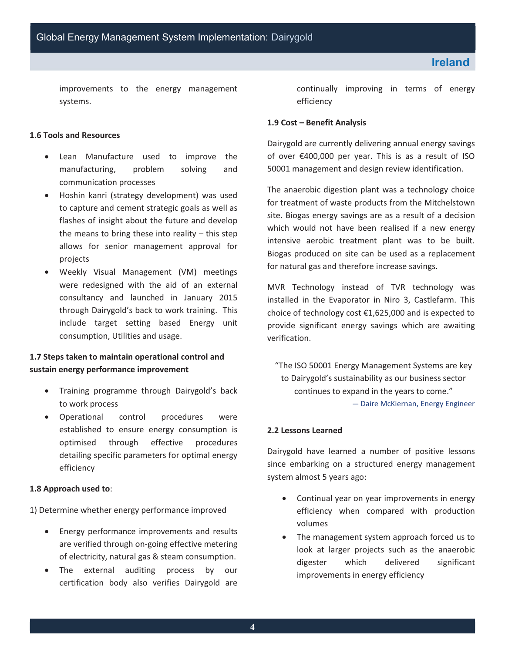improvements to the energy management systems.

# **1.6 Tools and Resources**

- Lean Manufacture used to improve the manufacturing, problem solving and communication processes
- •Hoshin kanri (strategy development) was used to capture and cement strategic goals as well as flashes of insight about the future and develop the means to bring these into reality  $-$  this step allows for senior management approval for projects
- •Weekly Visual Management (VM) meetings were redesigned with the aid of an external consultancy and launched in January 2015 through Dairygold's back to work training. This include target setting based Energy unit consumption, Utilities and usage.

# **1.7 Steps taken to maintain operational control and sustain energy performance improvement**

- to work process •Training programme through Dairygold's back
- •Operational control procedures were established to ensure energy consumption is optimised through effective procedures detailing specific parameters for optimal energy efficiency

## **1.8 Approach used to**:

1) Determine whether energy performance improved

- •Energy performance improvements and results are verified through on-going effective metering of electricity, natural gas & steam consumption.
- •The external auditing process by our certification body also verifies Dairygold are

continually improving in terms of energy efficiency

# **1.9 Cost – Benefit Analysis**

 50001 management and design review identification. Dairygold are currently delivering annual energy savings of over €400,000 per year. This is as a result of ISO

The anaerobic digestion plant was a technology choice for treatment of waste products from the Mitchelstown site. Biogas energy savings are as a result of a decision which would not have been realised if a new energy intensive aerobic treatment plant was to be built. Biogas produced on site can be used as a replacement for natural gas and therefore increase savings.

MVR Technology instead of TVR technology was installed in the Evaporator in Niro 3, Castlefarm. This choice of technology cost €1,625,000 and is expected to provide significant energy savings which are awaiting verification.

"The ISO 50001 Energy Management Systems are key to Dairygold's sustainability as our business sector continues to expand in the years to come." — Daire McKiernan, Energy Engineer

# **2.2 Lessons Learned**

Dairygold have learned a number of positive lessons since embarking on a structured energy management system almost 5 years ago:

- •Continual year on year improvements in energy efficiency when compared with production volumes
- The management system approach forced us to look at larger projects such as the anaerobic digester which delivered significant improvements in energy efficiency